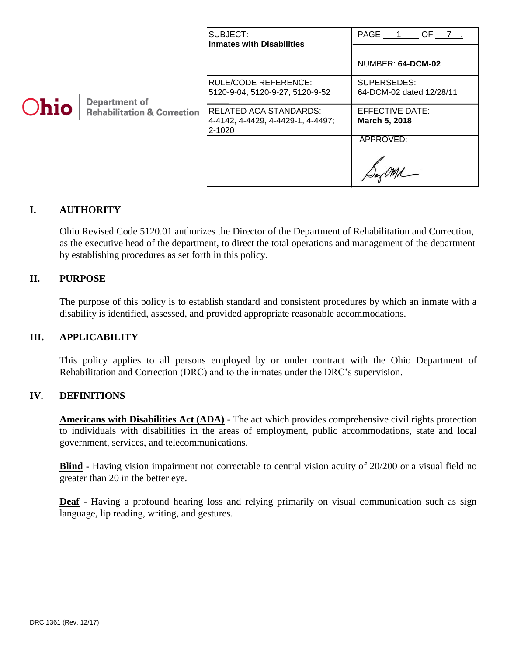|             |                                                                | SUBJECT:<br><b>Inmates with Disabilities</b>                           | PAGE 1 OF 7.                            |
|-------------|----------------------------------------------------------------|------------------------------------------------------------------------|-----------------------------------------|
| <b>Ohio</b> | <b>Department of</b><br><b>Rehabilitation &amp; Correction</b> |                                                                        | NUMBER: 64-DCM-02                       |
|             |                                                                | RULE/CODE REFERENCE:<br>5120-9-04, 5120-9-27, 5120-9-52                | SUPERSEDES:<br>64-DCM-02 dated 12/28/11 |
|             |                                                                | RELATED ACA STANDARDS:<br> 4-4142, 4-4429, 4-4429-1, 4-4497;<br>2-1020 | EFFECTIVE DATE:<br>March 5, 2018        |
|             |                                                                |                                                                        | APPROVED:                               |

#### **I. AUTHORITY**

Ohio Revised Code 5120.01 authorizes the Director of the Department of Rehabilitation and Correction, as the executive head of the department, to direct the total operations and management of the department by establishing procedures as set forth in this policy.

#### **II. PURPOSE**

The purpose of this policy is to establish standard and consistent procedures by which an inmate with a disability is identified, assessed, and provided appropriate reasonable accommodations.

#### **III. APPLICABILITY**

This policy applies to all persons employed by or under contract with the Ohio Department of Rehabilitation and Correction (DRC) and to the inmates under the DRC's supervision.

#### **IV. DEFINITIONS**

**Americans with Disabilities Act (ADA)** - The act which provides comprehensive civil rights protection to individuals with disabilities in the areas of employment, public accommodations, state and local government, services, and telecommunications.

**Blind -** Having vision impairment not correctable to central vision acuity of 20/200 or a visual field no greater than 20 in the better eye.

**Deaf -** Having a profound hearing loss and relying primarily on visual communication such as sign language, lip reading, writing, and gestures.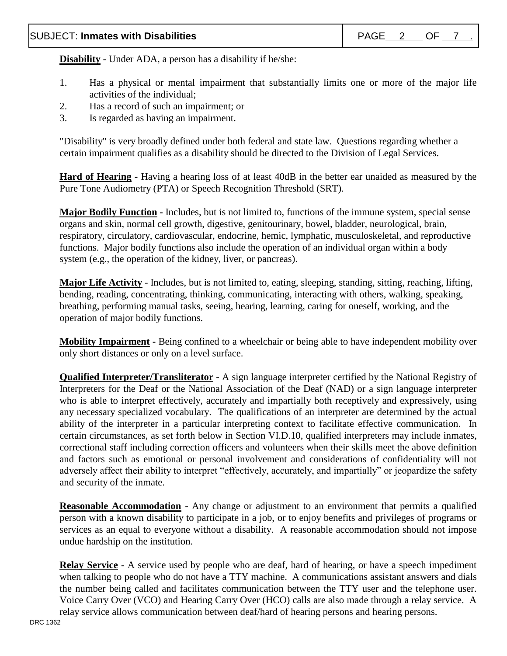**Disability** - Under ADA, a person has a disability if he/she:

- 1. Has a physical or mental impairment that substantially limits one or more of the major life activities of the individual;
- 2. Has a record of such an impairment; or
- 3. Is regarded as having an impairment.

"Disability" is very broadly defined under both federal and state law. Questions regarding whether a certain impairment qualifies as a disability should be directed to the Division of Legal Services.

**Hard of Hearing -** Having a hearing loss of at least 40dB in the better ear unaided as measured by the Pure Tone Audiometry (PTA) or Speech Recognition Threshold (SRT).

**Major Bodily Function -** Includes, but is not limited to, functions of the immune system, special sense organs and skin, normal cell growth, digestive, genitourinary, bowel, bladder, neurological, brain, respiratory, circulatory, cardiovascular, endocrine, hemic, lymphatic, musculoskeletal, and reproductive functions. Major bodily functions also include the operation of an individual organ within a body system (e.g., the operation of the kidney, liver, or pancreas).

**Major Life Activity** - Includes, but is not limited to, eating, sleeping, standing, sitting, reaching, lifting, bending, reading, concentrating, thinking, communicating, interacting with others, walking, speaking, breathing, performing manual tasks, seeing, hearing, learning, caring for oneself, working, and the operation of major bodily functions.

**Mobility Impairment -** Being confined to a wheelchair or being able to have independent mobility over only short distances or only on a level surface.

**Qualified Interpreter/Transliterator -** A sign language interpreter certified by the National Registry of Interpreters for the Deaf or the National Association of the Deaf (NAD) or a sign language interpreter who is able to interpret effectively, accurately and impartially both receptively and expressively, using any necessary specialized vocabulary. The qualifications of an interpreter are determined by the actual ability of the interpreter in a particular interpreting context to facilitate effective communication. In certain circumstances, as set forth below in Section VI.D.10, qualified interpreters may include inmates, correctional staff including correction officers and volunteers when their skills meet the above definition and factors such as emotional or personal involvement and considerations of confidentiality will not adversely affect their ability to interpret "effectively, accurately, and impartially" or jeopardize the safety and security of the inmate.

**Reasonable Accommodation** - Any change or adjustment to an environment that permits a qualified person with a known disability to participate in a job, or to enjoy benefits and privileges of programs or services as an equal to everyone without a disability. A reasonable accommodation should not impose undue hardship on the institution.

**Relay Service -** A service used by people who are deaf, hard of hearing, or have a speech impediment when talking to people who do not have a TTY machine. A communications assistant answers and dials the number being called and facilitates communication between the TTY user and the telephone user. Voice Carry Over (VCO) and Hearing Carry Over (HCO) calls are also made through a relay service. A relay service allows communication between deaf/hard of hearing persons and hearing persons.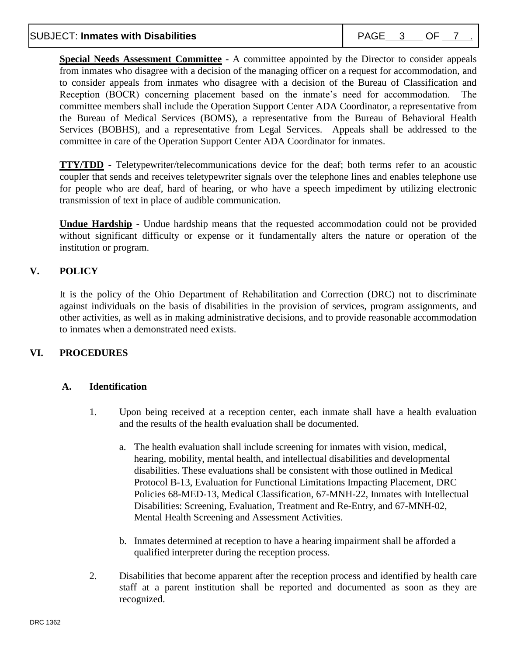**Special Needs Assessment Committee -** A committee appointed by the Director to consider appeals from inmates who disagree with a decision of the managing officer on a request for accommodation, and to consider appeals from inmates who disagree with a decision of the Bureau of Classification and Reception (BOCR) concerning placement based on the inmate's need for accommodation. The committee members shall include the Operation Support Center ADA Coordinator, a representative from the Bureau of Medical Services (BOMS), a representative from the Bureau of Behavioral Health Services (BOBHS), and a representative from Legal Services. Appeals shall be addressed to the committee in care of the Operation Support Center ADA Coordinator for inmates.

**TTY/TDD** - Teletypewriter/telecommunications device for the deaf; both terms refer to an acoustic coupler that sends and receives teletypewriter signals over the telephone lines and enables telephone use for people who are deaf, hard of hearing, or who have a speech impediment by utilizing electronic transmission of text in place of audible communication.

**Undue Hardship** - Undue hardship means that the requested accommodation could not be provided without significant difficulty or expense or it fundamentally alters the nature or operation of the institution or program.

# **V. POLICY**

It is the policy of the Ohio Department of Rehabilitation and Correction (DRC) not to discriminate against individuals on the basis of disabilities in the provision of services, program assignments, and other activities, as well as in making administrative decisions, and to provide reasonable accommodation to inmates when a demonstrated need exists.

# **VI. PROCEDURES**

# **A. Identification**

- 1. Upon being received at a reception center, each inmate shall have a health evaluation and the results of the health evaluation shall be documented.
	- a. The health evaluation shall include screening for inmates with vision, medical, hearing, mobility, mental health, and intellectual disabilities and developmental disabilities. These evaluations shall be consistent with those outlined in Medical Protocol B-13, Evaluation for Functional Limitations Impacting Placement, DRC Policies 68-MED-13, Medical Classification, 67-MNH-22, Inmates with Intellectual Disabilities: Screening, Evaluation, Treatment and Re-Entry, and 67-MNH-02, Mental Health Screening and Assessment Activities.
	- b. Inmates determined at reception to have a hearing impairment shall be afforded a qualified interpreter during the reception process.
- 2. Disabilities that become apparent after the reception process and identified by health care staff at a parent institution shall be reported and documented as soon as they are recognized.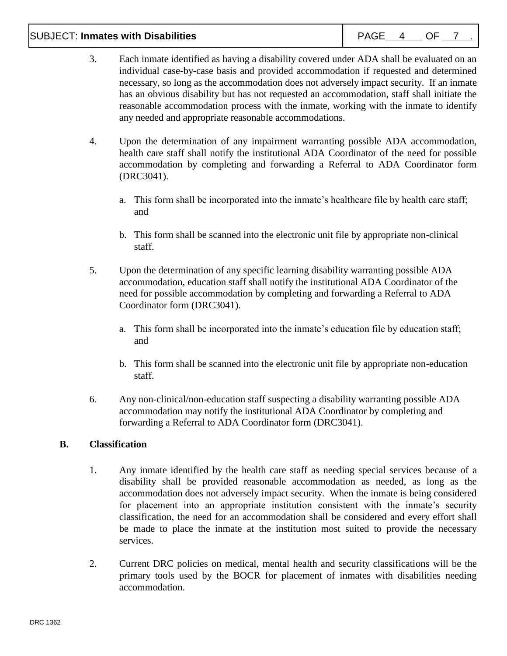#### SUBJECT: **Inmates with Disabilities** And Allen and Mateural PAGE 4 OF 7

- 3. Each inmate identified as having a disability covered under ADA shall be evaluated on an individual case-by-case basis and provided accommodation if requested and determined necessary, so long as the accommodation does not adversely impact security. If an inmate has an obvious disability but has not requested an accommodation, staff shall initiate the reasonable accommodation process with the inmate, working with the inmate to identify any needed and appropriate reasonable accommodations.
- 4. Upon the determination of any impairment warranting possible ADA accommodation, health care staff shall notify the institutional ADA Coordinator of the need for possible accommodation by completing and forwarding a Referral to ADA Coordinator form (DRC3041).
	- a. This form shall be incorporated into the inmate's healthcare file by health care staff; and
	- b. This form shall be scanned into the electronic unit file by appropriate non-clinical staff.
- 5. Upon the determination of any specific learning disability warranting possible ADA accommodation, education staff shall notify the institutional ADA Coordinator of the need for possible accommodation by completing and forwarding a Referral to ADA Coordinator form (DRC3041).
	- a. This form shall be incorporated into the inmate's education file by education staff; and
	- b. This form shall be scanned into the electronic unit file by appropriate non-education staff.
- 6. Any non-clinical/non-education staff suspecting a disability warranting possible ADA accommodation may notify the institutional ADA Coordinator by completing and forwarding a Referral to ADA Coordinator form (DRC3041).

#### **B. Classification**

- 1. Any inmate identified by the health care staff as needing special services because of a disability shall be provided reasonable accommodation as needed, as long as the accommodation does not adversely impact security. When the inmate is being considered for placement into an appropriate institution consistent with the inmate's security classification, the need for an accommodation shall be considered and every effort shall be made to place the inmate at the institution most suited to provide the necessary services.
- 2. Current DRC policies on medical, mental health and security classifications will be the primary tools used by the BOCR for placement of inmates with disabilities needing accommodation.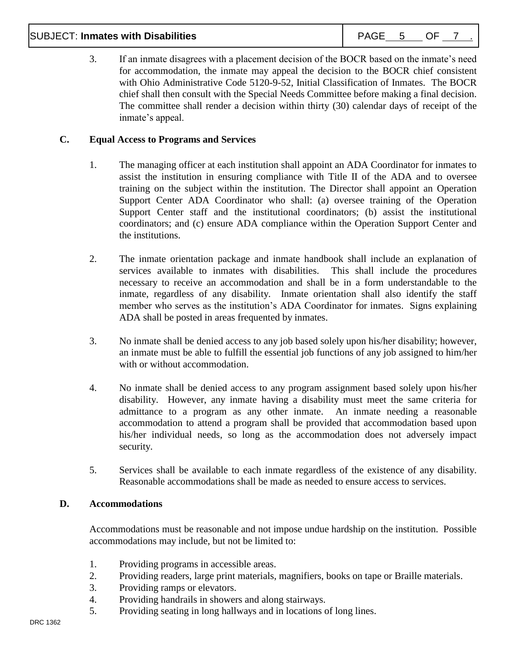# SUBJECT: **Inmates with Disabilities** And Allen and Allen PAGE 5 OF 7 .

| DA.<br>$\sim$ |  |  |
|---------------|--|--|
|               |  |  |

3. If an inmate disagrees with a placement decision of the BOCR based on the inmate's need for accommodation, the inmate may appeal the decision to the BOCR chief consistent with Ohio Administrative Code 5120-9-52, Initial Classification of Inmates. The BOCR chief shall then consult with the Special Needs Committee before making a final decision. The committee shall render a decision within thirty (30) calendar days of receipt of the inmate's appeal.

#### **C. Equal Access to Programs and Services**

- 1. The managing officer at each institution shall appoint an ADA Coordinator for inmates to assist the institution in ensuring compliance with Title II of the ADA and to oversee training on the subject within the institution. The Director shall appoint an Operation Support Center ADA Coordinator who shall: (a) oversee training of the Operation Support Center staff and the institutional coordinators; (b) assist the institutional coordinators; and (c) ensure ADA compliance within the Operation Support Center and the institutions.
- 2. The inmate orientation package and inmate handbook shall include an explanation of services available to inmates with disabilities. This shall include the procedures necessary to receive an accommodation and shall be in a form understandable to the inmate, regardless of any disability. Inmate orientation shall also identify the staff member who serves as the institution's ADA Coordinator for inmates. Signs explaining ADA shall be posted in areas frequented by inmates.
- 3. No inmate shall be denied access to any job based solely upon his/her disability; however, an inmate must be able to fulfill the essential job functions of any job assigned to him/her with or without accommodation.
- 4. No inmate shall be denied access to any program assignment based solely upon his/her disability. However, any inmate having a disability must meet the same criteria for admittance to a program as any other inmate. An inmate needing a reasonable accommodation to attend a program shall be provided that accommodation based upon his/her individual needs, so long as the accommodation does not adversely impact security.
- 5. Services shall be available to each inmate regardless of the existence of any disability. Reasonable accommodations shall be made as needed to ensure access to services.

#### **D. Accommodations**

Accommodations must be reasonable and not impose undue hardship on the institution. Possible accommodations may include, but not be limited to:

- 1. Providing programs in accessible areas.
- 2. Providing readers, large print materials, magnifiers, books on tape or Braille materials.
- 3. Providing ramps or elevators.
- 4. Providing handrails in showers and along stairways.
- 5. Providing seating in long hallways and in locations of long lines.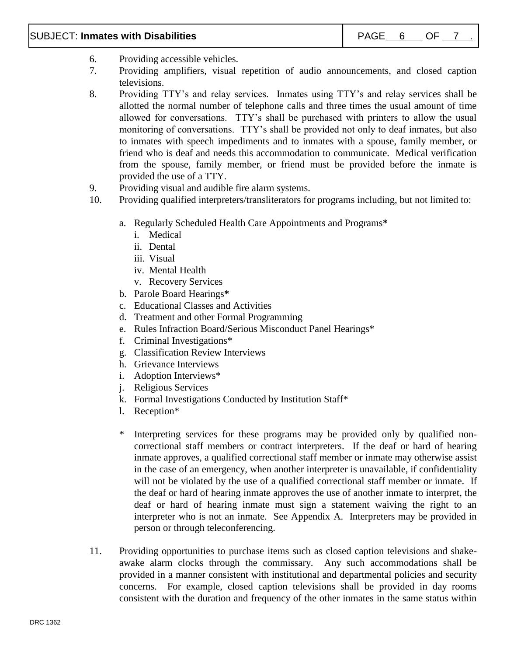#### SUBJECT: **Inmates with Disabilities**  $\begin{array}{|c|c|c|c|c|c|}\n\hline\n\end{array}$  PAGE 6 OF 7

- 6. Providing accessible vehicles.
- 7. Providing amplifiers, visual repetition of audio announcements, and closed caption televisions.
- 8. Providing TTY's and relay services. Inmates using TTY's and relay services shall be allotted the normal number of telephone calls and three times the usual amount of time allowed for conversations. TTY's shall be purchased with printers to allow the usual monitoring of conversations. TTY's shall be provided not only to deaf inmates, but also to inmates with speech impediments and to inmates with a spouse, family member, or friend who is deaf and needs this accommodation to communicate. Medical verification from the spouse, family member, or friend must be provided before the inmate is provided the use of a TTY.
- 9. Providing visual and audible fire alarm systems.
- 10. Providing qualified interpreters/transliterators for programs including, but not limited to:
	- a. Regularly Scheduled Health Care Appointments and Programs**\***
		- i. Medical
		- ii. Dental
		- iii. Visual
		- iv. Mental Health
		- v. Recovery Services
	- b. Parole Board Hearings**\***
	- c. Educational Classes and Activities
	- d. Treatment and other Formal Programming
	- e. Rules Infraction Board/Serious Misconduct Panel Hearings\*
	- f. Criminal Investigations\*
	- g. Classification Review Interviews
	- h. Grievance Interviews
	- i. Adoption Interviews\*
	- j. Religious Services
	- k. Formal Investigations Conducted by Institution Staff\*
	- l. Reception\*
	- \* Interpreting services for these programs may be provided only by qualified noncorrectional staff members or contract interpreters. If the deaf or hard of hearing inmate approves, a qualified correctional staff member or inmate may otherwise assist in the case of an emergency, when another interpreter is unavailable, if confidentiality will not be violated by the use of a qualified correctional staff member or inmate. If the deaf or hard of hearing inmate approves the use of another inmate to interpret, the deaf or hard of hearing inmate must sign a statement waiving the right to an interpreter who is not an inmate. See Appendix A. Interpreters may be provided in person or through teleconferencing.
- 11. Providing opportunities to purchase items such as closed caption televisions and shakeawake alarm clocks through the commissary. Any such accommodations shall be provided in a manner consistent with institutional and departmental policies and security concerns. For example, closed caption televisions shall be provided in day rooms consistent with the duration and frequency of the other inmates in the same status within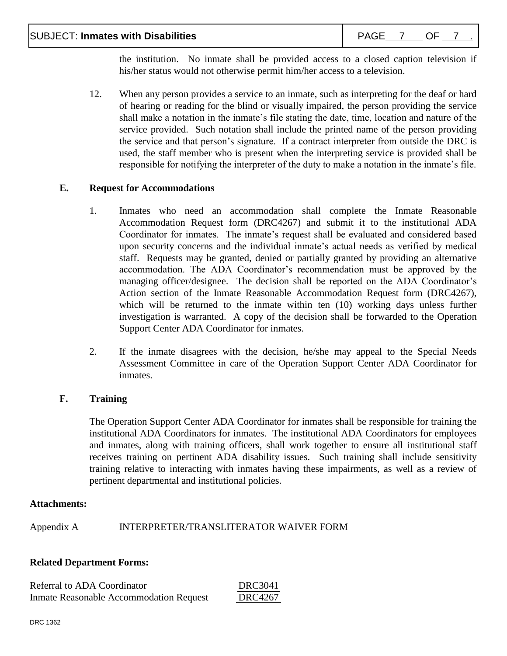the institution. No inmate shall be provided access to a closed caption television if his/her status would not otherwise permit him/her access to a television.

12. When any person provides a service to an inmate, such as interpreting for the deaf or hard of hearing or reading for the blind or visually impaired, the person providing the service shall make a notation in the inmate's file stating the date, time, location and nature of the service provided. Such notation shall include the printed name of the person providing the service and that person's signature. If a contract interpreter from outside the DRC is used, the staff member who is present when the interpreting service is provided shall be responsible for notifying the interpreter of the duty to make a notation in the inmate's file.

#### **E. Request for Accommodations**

- 1. Inmates who need an accommodation shall complete the Inmate Reasonable Accommodation Request form (DRC4267) and submit it to the institutional ADA Coordinator for inmates. The inmate's request shall be evaluated and considered based upon security concerns and the individual inmate's actual needs as verified by medical staff. Requests may be granted, denied or partially granted by providing an alternative accommodation. The ADA Coordinator's recommendation must be approved by the managing officer/designee. The decision shall be reported on the ADA Coordinator's Action section of the Inmate Reasonable Accommodation Request form (DRC4267), which will be returned to the inmate within ten (10) working days unless further investigation is warranted. A copy of the decision shall be forwarded to the Operation Support Center ADA Coordinator for inmates.
- 2. If the inmate disagrees with the decision, he/she may appeal to the Special Needs Assessment Committee in care of the Operation Support Center ADA Coordinator for inmates.

# **F. Training**

The Operation Support Center ADA Coordinator for inmates shall be responsible for training the institutional ADA Coordinators for inmates. The institutional ADA Coordinators for employees and inmates, along with training officers, shall work together to ensure all institutional staff receives training on pertinent ADA disability issues. Such training shall include sensitivity training relative to interacting with inmates having these impairments, as well as a review of pertinent departmental and institutional policies.

#### **Attachments:**

Appendix A INTERPRETER/TRANSLITERATOR WAIVER FORM

# **Related Department Forms:**

| Referral to ADA Coordinator                    | DRC3041 |
|------------------------------------------------|---------|
| <b>Inmate Reasonable Accommodation Request</b> | DRC4267 |